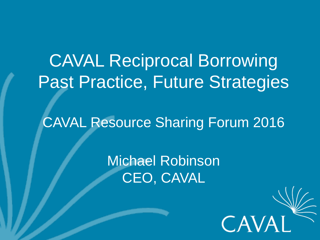CAVAL Reciprocal Borrowing Past Practice, Future Strategies

CAVAL Resource Sharing Forum 2016

Michael Robinson CEO, CAVAL

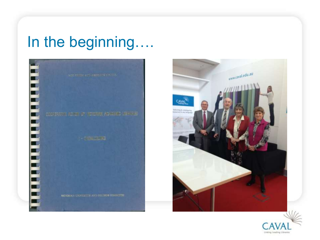### In the beginning….





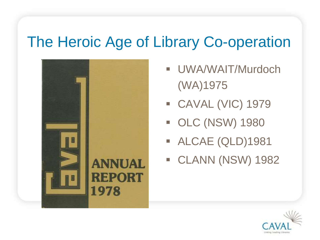#### The Heroic Age of Library Co-operation



- UWA/WAIT/Murdoch (WA)1975
- CAVAL (VIC) 1979
- OLC (NSW) 1980
- ALCAE (QLD)1981
- CLANN (NSW) 1982

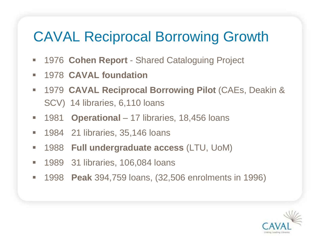#### CAVAL Reciprocal Borrowing Growth

- 1976 **Cohen Report**  Shared Cataloguing Project
- 1978 **CAVAL foundation**
- 1979 **CAVAL Reciprocal Borrowing Pilot** (CAEs, Deakin & SCV) 14 libraries, 6,110 loans
- 1981 **Operational** 17 libraries, 18,456 loans
- **1984 21 libraries, 35,146 loans**
- 1988 **Full undergraduate access** (LTU, UoM)
- **1989 31 libraries, 106,084 loans**
- 1998 **Peak** 394,759 loans, (32,506 enrolments in 1996)

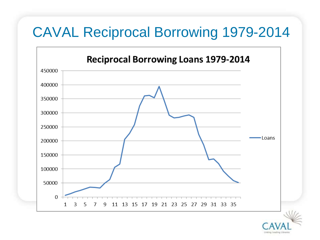#### CAVAL Reciprocal Borrowing 1979-2014

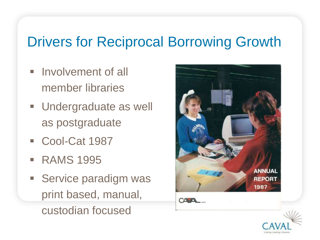#### Drivers for Reciprocal Borrowing Growth

- **Involvement of all** member libraries
- **Undergraduate as well** as postgraduate
- Cool-Cat 1987
- **RAMS 1995**
- **Service paradigm was** print based, manual, custodian focused



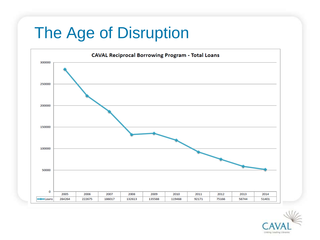# The Age of Disruption



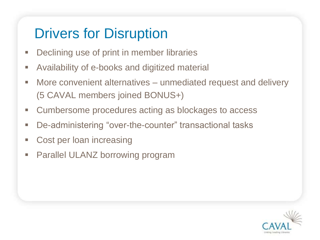#### Drivers for Disruption

- **Declining use of print in member libraries**
- Availability of e-books and digitized material
- **More convenient alternatives unmediated request and delivery** (5 CAVAL members joined BONUS+)
- **EXECUMBERS COMPERGIVE CONTER** acting as blockages to access
- De-administering "over-the-counter" transactional tasks
- Cost per loan increasing
- **Parallel ULANZ borrowing program**

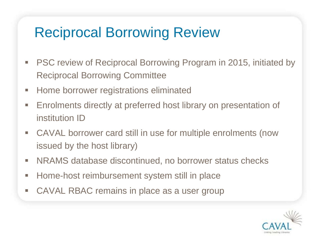#### Reciprocal Borrowing Review

- PSC review of Reciprocal Borrowing Program in 2015, initiated by Reciprocal Borrowing Committee
- **Home borrower registrations eliminated**
- **Enrolments directly at preferred host library on presentation of** institution ID
- CAVAL borrower card still in use for multiple enrolments (now issued by the host library)
- **NRAMS** database discontinued, no borrower status checks
- Home-host reimbursement system still in place
- CAVAL RBAC remains in place as a user group

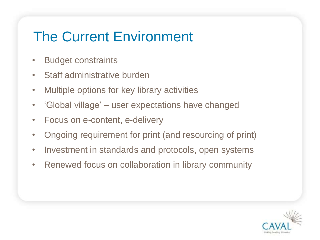#### The Current Environment

- Budget constraints
- Staff administrative burden
- Multiple options for key library activities
- 'Global village' user expectations have changed
- Focus on e-content, e-delivery
- Ongoing requirement for print (and resourcing of print)
- Investment in standards and protocols, open systems
- Renewed focus on collaboration in library community

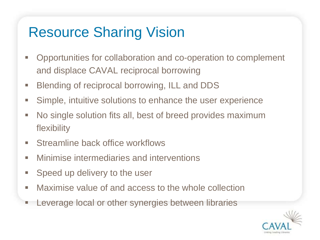#### Resource Sharing Vision

- **-** Opportunities for collaboration and co-operation to complement and displace CAVAL reciprocal borrowing
- **Blending of reciprocal borrowing, ILL and DDS**
- Simple, intuitive solutions to enhance the user experience
- No single solution fits all, best of breed provides maximum flexibility
- **Streamline back office workflows**
- **Ninimise intermediaries and interventions**
- **Speed up delivery to the user**
- **Maximise value of and access to the whole collection**
- Leverage local or other synergies between libraries

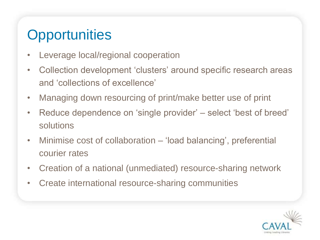#### **Opportunities**

- Leverage local/regional cooperation
- Collection development 'clusters' around specific research areas and 'collections of excellence'
- Managing down resourcing of print/make better use of print
- Reduce dependence on 'single provider' select 'best of breed' solutions
- Minimise cost of collaboration 'load balancing', preferential courier rates
- Creation of a national (unmediated) resource-sharing network
- Create international resource-sharing communities

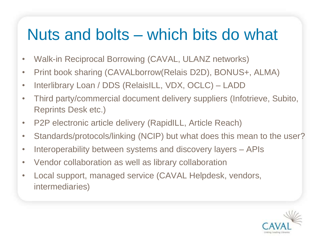## Nuts and bolts – which bits do what

- Walk-in Reciprocal Borrowing (CAVAL, ULANZ networks)
- Print book sharing (CAVALborrow(Relais D2D), BONUS+, ALMA)
- Interlibrary Loan / DDS (RelaisILL, VDX, OCLC) LADD
- Third party/commercial document delivery suppliers (Infotrieve, Subito, Reprints Desk etc.)
- P2P electronic article delivery (RapidILL, Article Reach)
- Standards/protocols/linking (NCIP) but what does this mean to the user?
- Interoperability between systems and discovery layers APIs
- Vendor collaboration as well as library collaboration
- Local support, managed service (CAVAL Helpdesk, vendors, intermediaries)

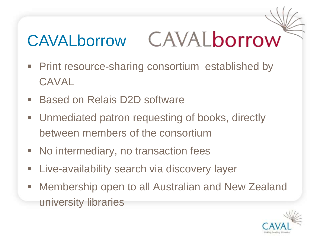#### CAVALborrow **CAVALborrow**

- **Print resource-sharing consortium established by** CAVAL
- Based on Relais D2D software
- **Unmediated patron requesting of books, directly** between members of the consortium
- No intermediary, no transaction fees
- **Example 20 Fig. 2** Live-availability search via discovery layer
- Membership open to all Australian and New Zealand university libraries

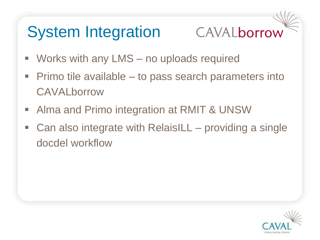# System Integration



- Works with any LMS no uploads required
- Primo tile available to pass search parameters into **CAVALborrow**
- Alma and Primo integration at RMIT & UNSW
- Can also integrate with RelaisILL providing a single docdel workflow

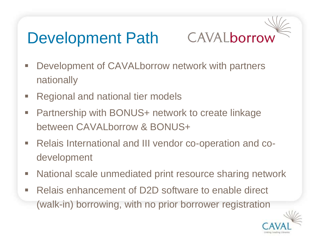# Development Path

# CAVALborrow

- **-** Development of CAVALborrow network with partners nationally
- Regional and national tier models
- Partnership with BONUS+ network to create linkage between CAVALborrow & BONUS+
- Relais International and III vendor co-operation and codevelopment
- **National scale unmediated print resource sharing network**
- Relais enhancement of D2D software to enable direct (walk-in) borrowing, with no prior borrower registration

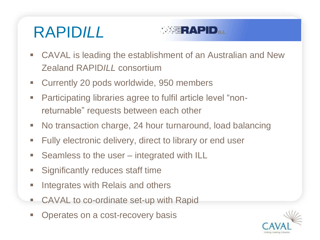# RAPID*ILL*



- CAVAL is leading the establishment of an Australian and New Zealand RAPID*ILL* consortium
- Currently 20 pods worldwide, 950 members
- Participating libraries agree to fulfil article level "nonreturnable" requests between each other
- No transaction charge, 24 hour turnaround, load balancing
- **Fully electronic delivery, direct to library or end user**
- Seamless to the user integrated with ILL
- **Significantly reduces staff time**
- **Integrates with Relais and others**
- CAVAL to co-ordinate set-up with Rapid
- Operates on a cost-recovery basis